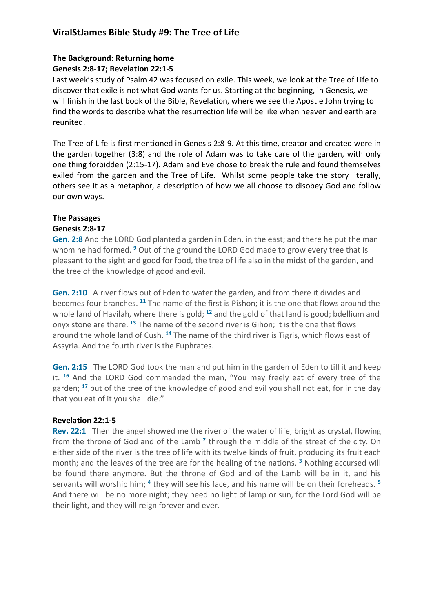# **ViralStJames Bible Study #9: The Tree of Life**

### **The Background: Returning home**

### **Genesis 2:8-17; Revelation 22:1-5**

Last week's study of Psalm 42 was focused on exile. This week, we look at the Tree of Life to discover that exile is not what God wants for us. Starting at the beginning, in Genesis, we will finish in the last book of the Bible, Revelation, where we see the Apostle John trying to find the words to describe what the resurrection life will be like when heaven and earth are reunited.

The Tree of Life is first mentioned in Genesis 2:8-9. At this time, creator and created were in the garden together (3:8) and the role of Adam was to take care of the garden, with only one thing forbidden (2:15-17). Adam and Eve chose to break the rule and found themselves exiled from the garden and the Tree of Life. Whilst some people take the story literally, others see it as a metaphor, a description of how we all choose to disobey God and follow our own ways.

## **The Passages**

### **Genesis 2:8-17**

**Gen. 2:8** And the LORD God planted a garden in Eden, in the east; and there he put the man whom he had formed. **<sup>9</sup>** Out of the ground the LORD God made to grow every tree that is pleasant to the sight and good for food, the tree of life also in the midst of the garden, and the tree of the knowledge of good and evil.

**Gen. 2:10** A river flows out of Eden to water the garden, and from there it divides and becomes four branches. **<sup>11</sup>** The name of the first is Pishon; it is the one that flows around the whole land of Havilah, where there is gold; **<sup>12</sup>** and the gold of that land is good; bdellium and onyx stone are there. **<sup>13</sup>** The name of the second river is Gihon; it is the one that flows around the whole land of Cush. **<sup>14</sup>** The name of the third river is Tigris, which flows east of Assyria. And the fourth river is the Euphrates.

**Gen. 2:15** The LORD God took the man and put him in the garden of Eden to till it and keep it. **<sup>16</sup>** And the LORD God commanded the man, "You may freely eat of every tree of the garden; **<sup>17</sup>** but of the tree of the knowledge of good and evil you shall not eat, for in the day that you eat of it you shall die."

### **Revelation 22:1-5**

**Rev. 22:1** Then the angel showed me the river of the water of life, bright as crystal, flowing from the throne of God and of the Lamb **<sup>2</sup>** through the middle of the street of the city. On either side of the river is the tree of life with its twelve kinds of fruit, producing its fruit each month; and the leaves of the tree are for the healing of the nations. **<sup>3</sup>** Nothing accursed will be found there anymore. But the throne of God and of the Lamb will be in it, and his servants will worship him; **<sup>4</sup>** they will see his face, and his name will be on their foreheads. **<sup>5</sup>** And there will be no more night; they need no light of lamp or sun, for the Lord God will be their light, and they will reign forever and ever.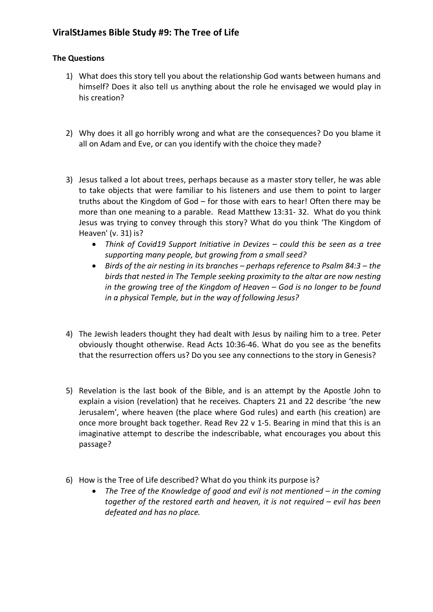# **ViralStJames Bible Study #9: The Tree of Life**

#### **The Questions**

- 1) What does this story tell you about the relationship God wants between humans and himself? Does it also tell us anything about the role he envisaged we would play in his creation?
- 2) Why does it all go horribly wrong and what are the consequences? Do you blame it all on Adam and Eve, or can you identify with the choice they made?
- 3) Jesus talked a lot about trees, perhaps because as a master story teller, he was able to take objects that were familiar to his listeners and use them to point to larger truths about the Kingdom of God – for those with ears to hear! Often there may be more than one meaning to a parable. Read Matthew 13:31- 32. What do you think Jesus was trying to convey through this story? What do you think 'The Kingdom of Heaven' (v. 31) is?
	- *Think of Covid19 Support Initiative in Devizes – could this be seen as a tree supporting many people, but growing from a small seed?*
	- *Birds of the air nesting in its branches – perhaps reference to Psalm 84:3 – the birds that nested in The Temple seeking proximity to the altar are now nesting in the growing tree of the Kingdom of Heaven – God is no longer to be found in a physical Temple, but in the way of following Jesus?*
- 4) The Jewish leaders thought they had dealt with Jesus by nailing him to a tree. Peter obviously thought otherwise. Read Acts 10:36-46. What do you see as the benefits that the resurrection offers us? Do you see any connections to the story in Genesis?
- 5) Revelation is the last book of the Bible, and is an attempt by the Apostle John to explain a vision (revelation) that he receives. Chapters 21 and 22 describe 'the new Jerusalem', where heaven (the place where God rules) and earth (his creation) are once more brought back together. Read Rev 22 v 1-5. Bearing in mind that this is an imaginative attempt to describe the indescribable, what encourages you about this passage?
- 6) How is the Tree of Life described? What do you think its purpose is?
	- *The Tree of the Knowledge of good and evil is not mentioned – in the coming together of the restored earth and heaven, it is not required – evil has been defeated and has no place.*